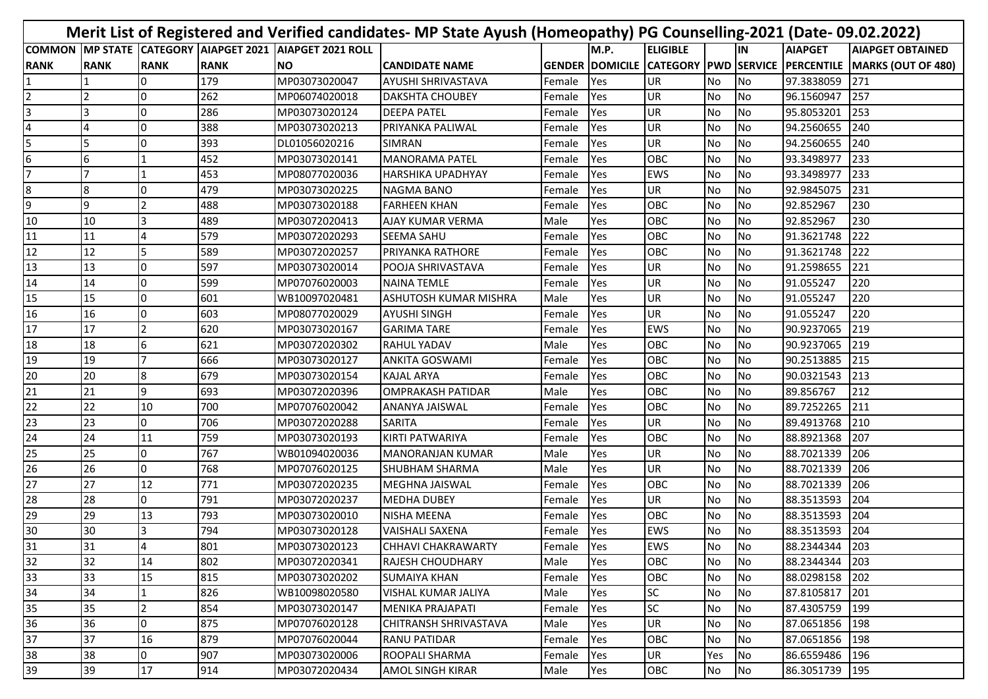| Merit List of Registered and Verified candidates- MP State Ayush (Homeopathy) PG Counselling-2021 (Date-09.02.2022) |                 |             |             |                                                  |                              |             |      |                 |           |           |                |                                                                          |
|---------------------------------------------------------------------------------------------------------------------|-----------------|-------------|-------------|--------------------------------------------------|------------------------------|-------------|------|-----------------|-----------|-----------|----------------|--------------------------------------------------------------------------|
| <b>COMMON</b>                                                                                                       |                 |             |             | MP STATE CATEGORY AIAPGET 2021 AIAPGET 2021 ROLL |                              |             | M.P. | <b>ELIGIBLE</b> |           | IN        | <b>AIAPGET</b> | <b>AIAPGET OBTAINED</b>                                                  |
| <b>RANK</b>                                                                                                         | <b>RANK</b>     | <b>RANK</b> | <b>RANK</b> | <b>NO</b>                                        | <b>CANDIDATE NAME</b>        |             |      |                 |           |           |                | GENDER  DOMICILE  CATEGORY  PWD  SERVICE  PERCENTILE  MARKS (OUT OF 480) |
|                                                                                                                     |                 |             | 179         | MP03073020047                                    | <b>AYUSHI SHRIVASTAVA</b>    | Female      | Yes  | UR              | <b>No</b> | No        | 97.3838059     | 271                                                                      |
| 2                                                                                                                   |                 |             | 262         | MP06074020018                                    | <b>DAKSHTA CHOUBEY</b>       | Female      | Yes  | UR              | <b>No</b> | No        | 96.1560947     | 257                                                                      |
|                                                                                                                     |                 |             | 286         | MP03073020124                                    | <b>DEEPA PATEL</b>           | Female      | Yes  | UR              | <b>No</b> | No        | 95.8053201     | 253                                                                      |
|                                                                                                                     |                 |             | 388         | MP03073020213                                    | PRIYANKA PALIWAL             | Female      | Yes  | UR              | <b>No</b> | No        | 94.2560655     | 240                                                                      |
| 5                                                                                                                   |                 |             | 393         | DL01056020216                                    | <b>SIMRAN</b>                | Female      | Yes  | UR              | No        | No        | 94.2560655     | 240                                                                      |
| 6                                                                                                                   | 6               |             | 452         | MP03073020141                                    | <b>MANORAMA PATEL</b>        | Female      | Yes  | OBC             | <b>No</b> | No        | 93.3498977     | 233                                                                      |
|                                                                                                                     |                 |             | 453         | MP08077020036                                    | <b>HARSHIKA UPADHYAY</b>     | Female      | Yes  | <b>EWS</b>      | No        | No        | 93.3498977     | 233                                                                      |
| 8                                                                                                                   | 8               |             | 479         | MP03073020225                                    | <b>NAGMA BANO</b>            | Female      | Yes  | UR              | <b>No</b> | No        | 92.9845075     | 231                                                                      |
| 9                                                                                                                   | 9               |             | 488         | MP03073020188                                    | <b>FARHEEN KHAN</b>          | Female      | Yes  | OBC             | No        | No        | 92.852967      | 230                                                                      |
| 10                                                                                                                  | 10              |             | 489         | MP03072020413                                    | <b>AJAY KUMAR VERMA</b>      | Male        | Yes  | OBC             | <b>No</b> | No        | 92.852967      | 230                                                                      |
| 11                                                                                                                  | 11              |             | 579         | MP03072020293                                    | <b>SEEMA SAHU</b>            | Female      | Yes  | OBC             | <b>No</b> | No        | 91.3621748     | 222                                                                      |
| 12                                                                                                                  | 12              |             | 589         | MP03072020257                                    | <b>PRIYANKA RATHORE</b>      | Female      | Yes  | OBC             | <b>No</b> | No        | 91.3621748     | 222                                                                      |
| 13                                                                                                                  | 13              |             | 597         | MP03073020014                                    | <b>POOJA SHRIVASTAVA</b>     | Female      | Yes  | UR              | No        | No        | 91.2598655     | 221                                                                      |
| 14                                                                                                                  | 14              |             | 599         | MP07076020003                                    | <b>NAINA TEMLE</b>           | Female      | Yes  | UR              | No        | No        | 91.055247      | 220                                                                      |
| 15                                                                                                                  | 15              |             | 601         | WB10097020481                                    | <b>ASHUTOSH KUMAR MISHRA</b> | Male        | Yes  | UR              | No        | No        | 91.055247      | 220                                                                      |
| 16                                                                                                                  | 16              |             | 603         | MP08077020029                                    | <b>AYUSHI SINGH</b>          | Female      | Yes  | UR              | <b>No</b> | No        | 91.055247      | 220                                                                      |
| 17                                                                                                                  | 17              |             | 620         | MP03073020167                                    | <b>GARIMA TARE</b>           | Female      | Yes  | <b>EWS</b>      | No        | No        | 90.9237065     | 219                                                                      |
| 18                                                                                                                  | 18              |             | 621         | MP03072020302                                    | <b>RAHUL YADAV</b>           | Male        | Yes  | OBC             | No        | No        | 90.9237065     | 219                                                                      |
| 19                                                                                                                  | 19              |             | 666         | MP03073020127                                    | <b>ANKITA GOSWAMI</b>        | Female      | Yes  | OBC             | No        | No        | 90.2513885     | 215                                                                      |
| 20                                                                                                                  | 20              |             | 679         | MP03073020154                                    | <b>KAJAL ARYA</b>            | Female      | Yes  | OBC             | <b>No</b> | No        | 90.0321543     | 213                                                                      |
| $\overline{21}$                                                                                                     | 21              | 9           | 693         | MP03072020396                                    | <b>IOMPRAKASH PATIDAR</b>    | Male        | Yes  | OBC             | <b>No</b> | No        | 89.856767      | 212                                                                      |
| 22                                                                                                                  | 22              | 10          | 700         | MP07076020042                                    | <b>ANANYA JAISWAL</b>        | Female      | Yes  | OBC             | <b>No</b> | No        | 89.7252265     | 211                                                                      |
| 23                                                                                                                  | 23              |             | 706         | MP03072020288                                    | <b>SARITA</b>                | Female      | Yes  | UR              | <b>No</b> | No        | 89.4913768     | 210                                                                      |
| 24                                                                                                                  | 24              | 11          | 759         | MP03073020193                                    | KIRTI PATWARIYA              | Female      | Yes  | OBC             | No        | No        | 88.8921368     | 207                                                                      |
| 25                                                                                                                  | 25              |             | 767         | WB01094020036                                    | MANORANJAN KUMAR             | Male        | Yes  | UR              | <b>No</b> | <b>No</b> | 88.7021339     | 206                                                                      |
| 26                                                                                                                  | $\overline{26}$ |             | 768         | MP07076020125                                    | <b>SHUBHAM SHARMA</b>        | Male        | Yes  | UR              | <b>No</b> | No        | 88.7021339     | 206                                                                      |
| 27                                                                                                                  | 27              | 12          | 771         | MP03072020235                                    | MEGHNA JAISWAL               | Female      | Yes  | <b>OBC</b>      | <b>No</b> | No        | 88.7021339     | 206                                                                      |
| 28                                                                                                                  | 28              |             | 791         | MP03072020237                                    | <b>MEDHA DUBEY</b>           | Female      | Yes  | UR              | <b>No</b> | No        | 88.3513593     | 204                                                                      |
| 29                                                                                                                  | 29              | 13          | 793         | MP03073020010                                    | <b>NISHA MEENA</b>           | Female      | Yes  | OBC             | No        | No        | 88.3513593     | 204                                                                      |
| 30                                                                                                                  | 30              |             | 794         | MP03073020128                                    | <b>VAISHALI SAXENA</b>       | Female      | Yes  | <b>EWS</b>      | No        | No        | 88.3513593     | 204                                                                      |
| $\overline{31}$                                                                                                     | 31              |             | 801         | MP03073020123                                    | <b>CHHAVI CHAKRAWARTY</b>    | Female Pres |      | EWS             | INO.      | N0        | 88.2344344 203 |                                                                          |
| 32                                                                                                                  | 32              | 14          | 802         | MP03072020341                                    | <b>RAJESH CHOUDHARY</b>      | Male        | Yes  | <b>OBC</b>      | <b>No</b> | No        | 88.2344344     | $ 203\rangle$                                                            |
| 33                                                                                                                  | 33              | 15          | 815         | MP03073020202                                    | <b>SUMAIYA KHAN</b>          | Female      | Yes  | OBC             | No        | No        | 88.0298158     | 202                                                                      |
| 34                                                                                                                  | 34              |             | 826         | WB10098020580                                    | <b>VISHAL KUMAR JALIYA</b>   | Male        | Yes  | <b>SC</b>       | No        | No        | 87.8105817     | 201                                                                      |
| 35                                                                                                                  | 35              | 2           | 854         | MP03073020147                                    | MENIKA PRAJAPATI             | Female      | Yes  | <b>SC</b>       | No        | No        | 87.4305759     | 199                                                                      |
| 36                                                                                                                  | 36              | 0           | 875         | MP07076020128                                    | <b>CHITRANSH SHRIVASTAVA</b> | Male        | Yes  | <b>UR</b>       | No        | No        | 87.0651856     | 198                                                                      |
| 37                                                                                                                  | 37              | 16          | 879         | MP07076020044                                    | <b>RANU PATIDAR</b>          | Female      | Yes  | OBC             | No        | No        | 87.0651856     | 198                                                                      |
| 38                                                                                                                  | 38              | 0           | 907         | MP03073020006                                    | <b>ROOPALI SHARMA</b>        | Female      | Yes  | UR              | Yes       | No        | 86.6559486     | 196                                                                      |
| 39                                                                                                                  | 39              | 17          | 914         | MP03072020434                                    | <b>AMOL SINGH KIRAR</b>      | Male        | Yes  | OBC             | <b>No</b> | No        | 86.3051739     | 195                                                                      |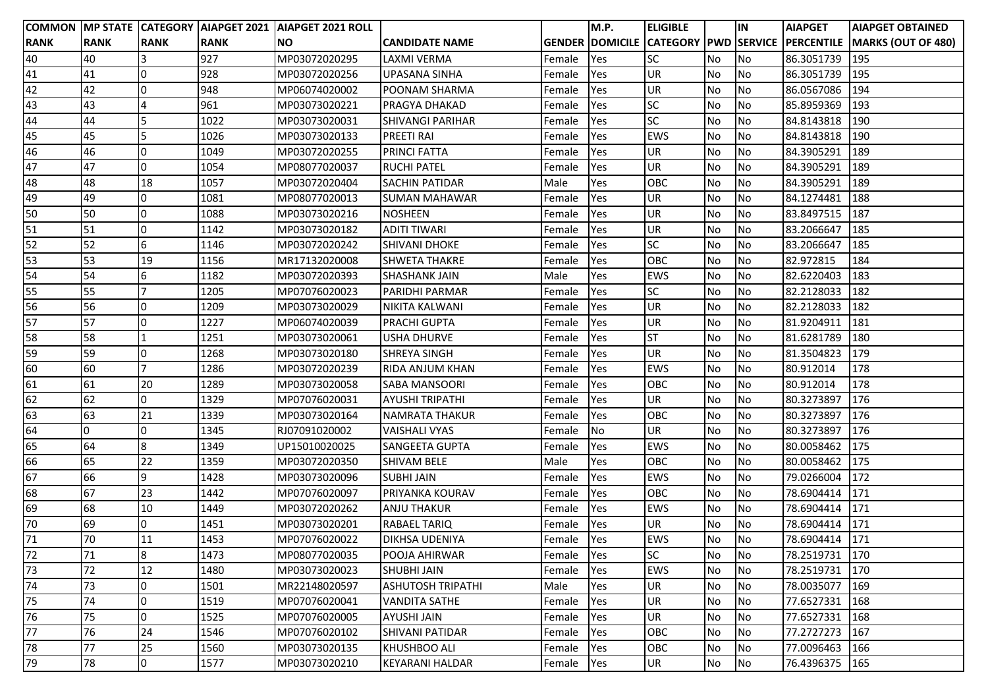|             |             |             |             | COMMON MP STATE CATEGORY AIAPGET 2021 AIAPGET 2021 ROLL |                          |            | M.P.       | <b>ELIGIBLE</b> |           | İIN       | <b>AIAPGET</b> | <b>AIAPGET OBTAINED</b>                                            |
|-------------|-------------|-------------|-------------|---------------------------------------------------------|--------------------------|------------|------------|-----------------|-----------|-----------|----------------|--------------------------------------------------------------------|
| <b>RANK</b> | <b>RANK</b> | <b>RANK</b> | <b>RANK</b> | <b>NO</b>                                               | <b>CANDIDATE NAME</b>    |            |            |                 |           |           |                | GENDER DOMICILE CATEGORY PWD SERVICE PERCENTILE MARKS (OUT OF 480) |
| 40          | 40          |             | 927         | MP03072020295                                           | <b>LAXMI VERMA</b>       | Female     | <b>Yes</b> | <b>SC</b>       | No        | No        | 86.3051739     | 195                                                                |
| 41          | 41          | 0           | 928         | MP03072020256                                           | <b>UPASANA SINHA</b>     | Female     | Yes        | UR              | No        | No        | 86.3051739     | 195                                                                |
| 42          | 42          | 0           | 948         | MP06074020002                                           | POONAM SHARMA            | Female     | Yes        | UR              | No        | No        | 86.0567086     | 194                                                                |
| 43          | 43          | 4           | 961         | MP03073020221                                           | <b>PRAGYA DHAKAD</b>     | Female     | Yes        | <b>SC</b>       | No        | No        | 85.8959369     | 193                                                                |
| 44          | 44          | 5           | 1022        | MP03073020031                                           | <b>SHIVANGI PARIHAR</b>  | Female     | Yes        | <b>SC</b>       | No        | No        | 84.8143818     | 190                                                                |
| 45          | 45          | 5           | 1026        | MP03073020133                                           | <b>PREETI RAI</b>        | Female     | Yes        | <b>EWS</b>      | <b>No</b> | <b>No</b> | 84.8143818     | 190                                                                |
| 46          | 46          | O           | 1049        | MP03072020255                                           | <b>PRINCI FATTA</b>      | Female     | Yes        | UR              | No        | No        | 84.3905291     | 189                                                                |
| 47          | 47          | 0           | 1054        | MP08077020037                                           | <b>RUCHI PATEL</b>       | Female     | Yes        | UR              | No        | No        | 84.3905291     | 189                                                                |
| 48          | 48          | 18          | 1057        | MP03072020404                                           | <b>SACHIN PATIDAR</b>    | Male       | Yes        | OBC             | No        | No        | 84.3905291     | 189                                                                |
| 49          | 49          | 0           | 1081        | MP08077020013                                           | <b>SUMAN MAHAWAR</b>     | Female     | Yes        | UR              | No        | <b>No</b> | 84.1274481     | 188                                                                |
| 50          | 50          | O           | 1088        | MP03073020216                                           | <b>NOSHEEN</b>           | Female     | Yes        | UR              | No        | <b>No</b> | 83.8497515     | 187                                                                |
| 51          | 51          | 0           | 1142        | MP03073020182                                           | <b>ADITI TIWARI</b>      | Female     | Yes        | UR              | No        | <b>No</b> | 83.2066647     | 185                                                                |
| 52          | 52          | 6           | 1146        | MP03072020242                                           | <b>SHIVANI DHOKE</b>     | Female     | Yes        | <b>SC</b>       | No        | No        | 83.2066647     | 185                                                                |
| 53          | 53          | 19          | 1156        | MR17132020008                                           | <b>SHWETA THAKRE</b>     | Female     | Yes        | <b>OBC</b>      | No        | No        | 82.972815      | 184                                                                |
| 54          | 54          | 6           | 1182        | MP03072020393                                           | <b>SHASHANK JAIN</b>     | Male       | Yes        | <b>EWS</b>      | <b>No</b> | No        | 82.6220403     | 183                                                                |
| 55          | 55          |             | 1205        | MP07076020023                                           | PARIDHI PARMAR           | Female     | Yes        | <b>SC</b>       | No        | <b>No</b> | 82.2128033     | 182                                                                |
| 56          | 56          | O           | 1209        | MP03073020029                                           | NIKITA KALWANI           | Female     | Yes        | <b>UR</b>       | No        | No        | 82.2128033     | 182                                                                |
| 57          | 57          | 0           | 1227        | MP06074020039                                           | <b>PRACHI GUPTA</b>      | Female     | Yes        | UR              | No        | No        | 81.9204911     | 181                                                                |
| 58          | 58          |             | 1251        | MP03073020061                                           | <b>USHA DHURVE</b>       | Female     | Yes        | <b>ST</b>       | No        | No        | 81.6281789     | 180                                                                |
| 59          | 59          | O           | 1268        | MP03073020180                                           | <b>SHREYA SINGH</b>      | Female     | Yes        | UR              | <b>No</b> | No        | 81.3504823     | 179                                                                |
| 60          | 60          |             | 1286        | MP03072020239                                           | <b>RIDA ANJUM KHAN</b>   | Female     | Yes        | <b>EWS</b>      | No        | <b>No</b> | 80.912014      | 178                                                                |
| 61          | 61          | 20          | 1289        | MP03073020058                                           | <b>SABA MANSOORI</b>     | Female     | Yes        | OBC             | No        | <b>No</b> | 80.912014      | 178                                                                |
| 62          | 62          | O           | 1329        | MP07076020031                                           | <b>AYUSHI TRIPATHI</b>   | Female     | Yes        | UR              | No        | <b>No</b> | 80.3273897     | 176                                                                |
| 63          | 63          | 21          | 1339        | MP03073020164                                           | <b>NAMRATA THAKUR</b>    | Female     | Yes        | OBC             | No        | No        | 80.3273897     | 176                                                                |
| 64          | 0           | $\Omega$    | 1345        | RJ07091020002                                           | <b>VAISHALI VYAS</b>     | Female     | <b>No</b>  | UR              | <b>No</b> | <b>No</b> | 80.3273897     | 176                                                                |
| 65          | 64          | 8           | 1349        | UP15010020025                                           | <b>SANGEETA GUPTA</b>    | Female     | Yes        | <b>EWS</b>      | No        | <b>No</b> | 80.0058462     | 175                                                                |
| 66          | 65          | 22          | 1359        | MP03072020350                                           | <b>SHIVAM BELE</b>       | Male       | Yes        | OBC             | No        | No        | 80.0058462     | 175                                                                |
| 67          | 66          | 9           | 1428        | MP03073020096                                           | <b>SUBHI JAIN</b>        | Female     | Yes        | <b>EWS</b>      | No        | No        | 79.0266004     | 172                                                                |
| 68          | 67          | 23          | 1442        | MP07076020097                                           | PRIYANKA KOURAV          | Female     | Yes        | OBC             | No        | No        | 78.6904414     | 171                                                                |
| 69          | 68          | 10          | 1449        | MP03072020262                                           | <b>ANJU THAKUR</b>       | Female     | Yes        | <b>EWS</b>      | <b>No</b> | No        | 78.6904414     | 171                                                                |
| 70          | 69          | O           | 1451        | MP03073020201                                           | <b>RABAEL TARIQ</b>      | Female     | Yes        | UR              | No        | No        | 78.6904414     | 171                                                                |
| 71          | 70          | 11          | 1453        | MP07076020022                                           | <b>DIKHSA UDENIYA</b>    | Female Yes |            | <b>EWS</b>      | No        | No        | 78.6904414 171 |                                                                    |
| 72          | 71          | 8           | 1473        | MP08077020035                                           | <b>POOJA AHIRWAR</b>     | Female     | Yes        | <b>SC</b>       | No        | No        | 78.2519731     | 170                                                                |
| 73          | 72          | 12          | 1480        | MP03073020023                                           | <b>SHUBHI JAIN</b>       | Female     | Yes        | EWS             | No        | No        | 78.2519731     | 170                                                                |
| 74          | 73          | O           | 1501        | MR22148020597                                           | <b>ASHUTOSH TRIPATHI</b> | Male       | Yes        | UR              | No        | No        | 78.0035077     | 169                                                                |
| 75          | 74          | 0           | 1519        | MP07076020041                                           | <b>VANDITA SATHE</b>     | Female     | Yes        | UR              | No        | No        | 77.6527331     | 168                                                                |
| 76          | 75          | O           | 1525        | MP07076020005                                           | <b>AYUSHI JAIN</b>       | Female     | Yes        | UR              | No        | No        | 77.6527331     | 168                                                                |
| 77          | 76          | 24          | 1546        | MP07076020102                                           | <b>SHIVANI PATIDAR</b>   | Female     | Yes        | OBC             | No        | No        | 77.2727273     | 167                                                                |
| 78          | 77          | 25          | 1560        | MP03073020135                                           | <b>KHUSHBOO ALI</b>      | Female     | Yes        | OBC             | No        | No        | 77.0096463     | 166                                                                |
| 79          | 78          | 0           | 1577        | MP03073020210                                           | <b>KEYARANI HALDAR</b>   | Female     | Yes        | UR              | No        | No        | 76.4396375     | 165                                                                |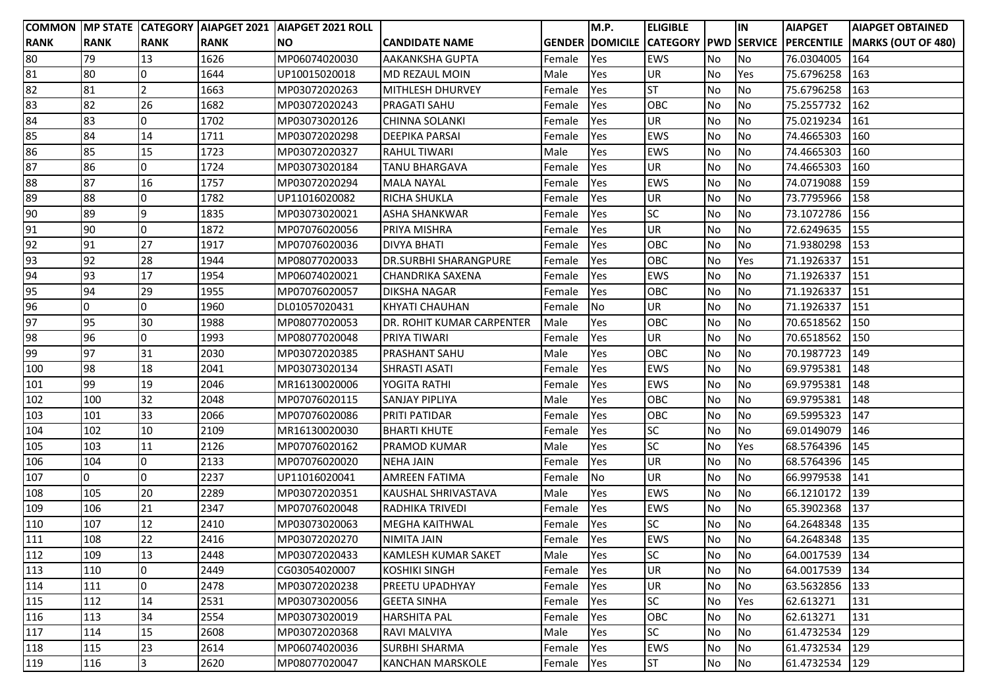|                  |             |                |             | COMMON MP STATE CATEGORY AIAPGET 2021 AIAPGET 2021 ROLL |                                  |            | M.P. | <b>ELIGIBLE</b> |           | IN        | <b>AIAPGET</b> | <b>AIAPGET OBTAINED</b>                                            |
|------------------|-------------|----------------|-------------|---------------------------------------------------------|----------------------------------|------------|------|-----------------|-----------|-----------|----------------|--------------------------------------------------------------------|
| <b>RANK</b>      | <b>RANK</b> | <b>RANK</b>    | <b>RANK</b> | INO.                                                    | <b>CANDIDATE NAME</b>            |            |      |                 |           |           |                | GENDER DOMICILE CATEGORY PWD SERVICE PERCENTILE MARKS (OUT OF 480) |
| 80               | 79          | 13             | 1626        | MP06074020030                                           | <b>AAKANKSHA GUPTA</b>           | Female     | Yes  | <b>EWS</b>      | No        | No        | 76.0304005     | 164                                                                |
| 81               | 80          |                | 1644        | UP10015020018                                           | MD REZAUL MOIN                   | Male       | Yes  | UR              | No        | Yes       | 75.6796258     | 163                                                                |
| 82               | 81          |                | 1663        | MP03072020263                                           | MITHLESH DHURVEY                 | Female     | Yes  | <b>ST</b>       | <b>No</b> | <b>No</b> | 75.6796258     | 163                                                                |
| 83               | 82          | 26             | 1682        | MP03072020243                                           | <b>PRAGATI SAHU</b>              | Female     | Yes  | OBC             | No        | No        | 75.2557732     | 162                                                                |
| 84               | 83          | $\Omega$       | 1702        | MP03073020126                                           | <b>CHINNA SOLANKI</b>            | Female     | Yes  | UR              | No        | <b>No</b> | 75.0219234     | 161                                                                |
| 85               | 84          | 14             | 1711        | MP03072020298                                           | <b>DEEPIKA PARSAI</b>            | Female     | Yes  | <b>EWS</b>      | No        | <b>No</b> | 74.4665303     | 160                                                                |
| 86               | 85          | 15             | 1723        | MP03072020327                                           | <b>RAHUL TIWARI</b>              | Male       | Yes  | <b>EWS</b>      | No        | <b>No</b> | 74.4665303     | 160                                                                |
| 87               | 86          | $\overline{0}$ | 1724        | MP03073020184                                           | <b>TANU BHARGAVA</b>             | Female     | Yes  | UR              | <b>No</b> | <b>No</b> | 74.4665303     | 160                                                                |
| 88               | 87          | 16             | 1757        | MP03072020294                                           | <b>MALA NAYAL</b>                | Female     | Yes  | <b>EWS</b>      | No        | No        | 74.0719088     | 159                                                                |
| 89               | 88          | l0             | 1782        | UP11016020082                                           | <b>RICHA SHUKLA</b>              | Female     | Yes  | UR              | <b>No</b> | <b>No</b> | 73.7795966     | 158                                                                |
| 90               | 89          | 9              | 1835        | MP03073020021                                           | <b>ASHA SHANKWAR</b>             | Female     | Yes  | <b>SC</b>       | No        | <b>No</b> | 73.1072786     | 156                                                                |
| 91               | 90          | $\Omega$       | 1872        | MP07076020056                                           | <b>PRIYA MISHRA</b>              | Female     | Yes  | UR              | <b>No</b> | No        | 72.6249635     | 155                                                                |
| 92               | 91          | 27             | 1917        | MP07076020036                                           | <b>DIVYA BHATI</b>               | Female     | Yes  | OBC             | <b>No</b> | <b>No</b> | 71.9380298     | 153                                                                |
| 93               | 92          | 28             | 1944        | MP08077020033                                           | <b>DR.SURBHI SHARANGPURE</b>     | Female     | Yes  | OBC             | No        | Yes       | 71.1926337     | 151                                                                |
| 94               | 93          | 17             | 1954        | MP06074020021                                           | <b>CHANDRIKA SAXENA</b>          | Female     | Yes  | <b>EWS</b>      | <b>No</b> | No        | 71.1926337     | 151                                                                |
| 95               | 94          | 29             | 1955        | MP07076020057                                           | <b>DIKSHA NAGAR</b>              | Female     | Yes  | OBC             | <b>No</b> | <b>No</b> | 71.1926337     | 151                                                                |
| 96               | $\Omega$    | <sup>0</sup>   | 1960        | DL01057020431                                           | <b>KHYATI CHAUHAN</b>            | Female     | No   | UR              | No        | No        | 71.1926337     | 151                                                                |
| 97               | 95          | 30             | 1988        | MP08077020053                                           | <b>DR. ROHIT KUMAR CARPENTER</b> | Male       | Yes  | OBC             | No        | <b>No</b> | 70.6518562     | 150                                                                |
| 98               | 96          | 0              | 1993        | MP08077020048                                           | <b>PRIYA TIWARI</b>              | Female     | Yes  | UR              | No        | No        | 70.6518562     | 150                                                                |
| 99               | 97          | 31             | 2030        | MP03072020385                                           | <b>PRASHANT SAHU</b>             | Male       | Yes  | OBC             | No        | <b>No</b> | 70.1987723     | 149                                                                |
| 100              | 98          | 18             | 2041        | MP03073020134                                           | <b>SHRASTI ASATI</b>             | Female     | Yes  | <b>EWS</b>      | No        | <b>No</b> | 69.9795381     | 148                                                                |
| 101              | 99          | 19             | 2046        | MR16130020006                                           | YOGITA RATHI                     | Female     | Yes  | <b>EWS</b>      | No        | No        | 69.9795381     | 148                                                                |
| 102              | 100         | 32             | 2048        | MP07076020115                                           | <b>SANJAY PIPLIYA</b>            | Male       | Yes  | OBC             | No        | <b>No</b> | 69.9795381     | 148                                                                |
| 103              | 101         | 33             | 2066        | MP07076020086                                           | <b>PRITI PATIDAR</b>             | Female     | Yes  | OBC             | No        | No        | 69.5995323     | 147                                                                |
| 104              | 102         | 10             | 2109        | MR16130020030                                           | <b>BHARTI KHUTE</b>              | Female     | Yes  | <b>SC</b>       | No        | <b>No</b> | 69.0149079     | 146                                                                |
| 105              | 103         | 11             | 2126        | MP07076020162                                           | PRAMOD KUMAR                     | Male       | Yes  | <b>SC</b>       | No        | Yes       | 68.5764396     | 145                                                                |
| 106              | 104         | $\overline{0}$ | 2133        | MP07076020020                                           | <b>NEHA JAIN</b>                 | Female     | Yes  | UR              | No        | <b>No</b> | 68.5764396     | 145                                                                |
| $\overline{107}$ | $\Omega$    | 0              | 2237        | UP11016020041                                           | <b>AMREEN FATIMA</b>             | Female     | No   | UR              | No        | <b>No</b> | 66.9979538     | 141                                                                |
| 108              | 105         | 20             | 2289        | MP03072020351                                           | <b>KAUSHAL SHRIVASTAVA</b>       | Male       | Yes  | <b>EWS</b>      | No        | No        | 66.1210172     | 139                                                                |
| 109              | 106         | 21             | 2347        | MP07076020048                                           | <b>RADHIKA TRIVEDI</b>           | Female     | Yes  | <b>EWS</b>      | No        | No        | 65.3902368     | 137                                                                |
| 110              | 107         | 12             | 2410        | MP03073020063                                           | <b>MEGHA KAITHWAL</b>            | Female     | Yes  | <b>SC</b>       | No        | <b>No</b> | 64.2648348     | 135                                                                |
| 111              | 108         | 22             | 2416        | MP03072020270                                           | <b>NIMITA JAIN</b>               | Female Yes |      | <b>EWS</b>      | No        | <b>No</b> | 64.2648348 135 |                                                                    |
| 112              | 109         | 13             | 2448        | MP03072020433                                           | <b>KAMLESH KUMAR SAKET</b>       | Male       | Yes  | <b>SC</b>       | <b>No</b> | <b>No</b> | 64.0017539     | 134                                                                |
| 113              | 110         | IO             | 2449        | CG03054020007                                           | <b>KOSHIKI SINGH</b>             | Female     | Yes  | UR              | No        | No        | 64.0017539     | 134                                                                |
| 114              | 111         | 0              | 2478        | MP03072020238                                           | <b>PREETU UPADHYAY</b>           | Female     | Yes  | UR              | No        | No        | 63.5632856     | 133                                                                |
| 115              | 112         | 14             | 2531        | MP03073020056                                           | <b>GEETA SINHA</b>               | Female     | Yes  | <b>SC</b>       | No        | Yes       | 62.613271      | 131                                                                |
| 116              | 113         | 34             | 2554        | MP03073020019                                           | <b>HARSHITA PAL</b>              | Female     | Yes  | OBC             | No        | No        | 62.613271      | 131                                                                |
| 117              | 114         | 15             | 2608        | MP03072020368                                           | RAVI MALVIYA                     | Male       | Yes  | <b>SC</b>       | No        | No        | 61.4732534     | 129                                                                |
| 118              | 115         | 23             | 2614        | MP06074020036                                           | <b>SURBHI SHARMA</b>             | Female     | Yes  | <b>EWS</b>      | No        | No        | 61.4732534     | 129                                                                |
| 119              | 116         | 3              | 2620        | MP08077020047                                           | <b>KANCHAN MARSKOLE</b>          | Female     | Yes  | <b>ST</b>       | No        | <b>No</b> | 61.4732534     | 129                                                                |